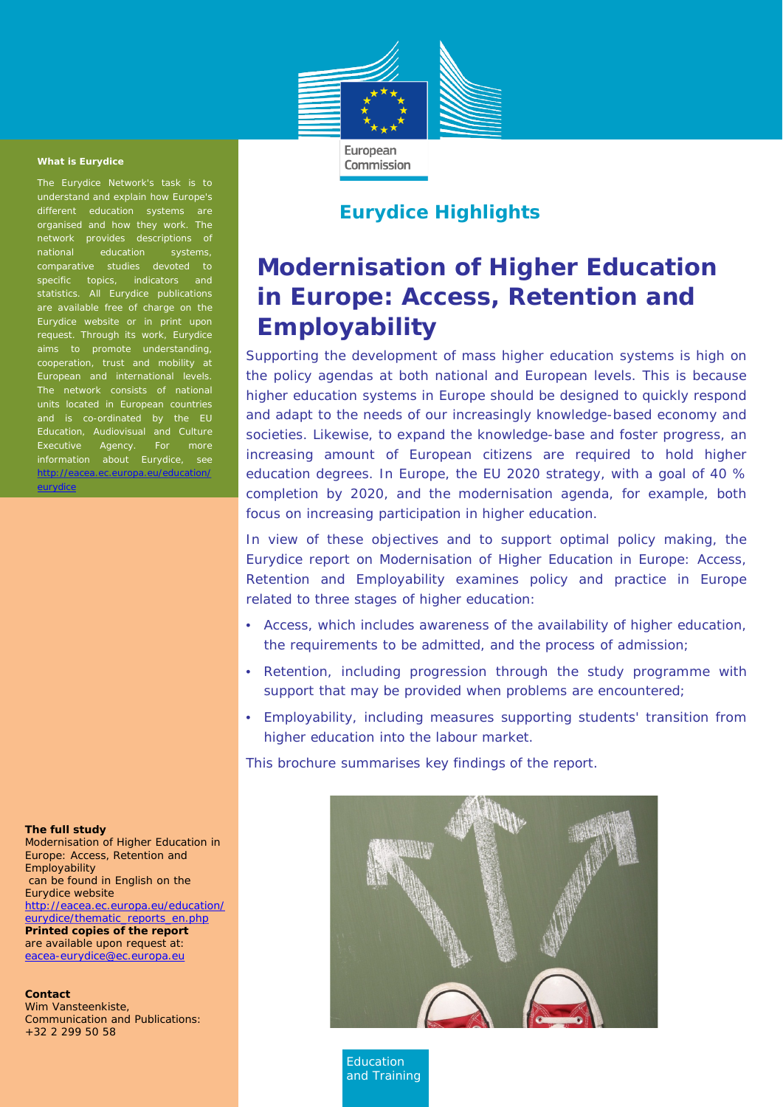

Commission

#### **What is Eurydice**

The Eurydice Network's task is to understand and explain how Europe's different education systems are organised and how they work. The network provides descriptions of<br>national education systems, national education systems, comparative studies devoted to specific topics, indicators and statistics. All Eurydice publications are available free of charge on the Eurydice website or in print upon request. Through its work, Eurydice cooperation, trust and mobility at The network consists of national units located in European countries and is co-ordinated by the EU Education, Audiovisual and Culture Executive Agency. For more information about Eurydice, see [http://eacea.ec.europa.eu/education/](http://eacea.ec.europa.eu/education/eurydice) **[eurydice](http://eacea.ec.europa.eu/education/eurydice)** 

## **Eurydice Highlights**

# **Modernisation of Higher Education Employability in Europe: Access, Retention and**

Supporting the development of mass higher education systems is high on the policy agendas at both national and European levels. This is because higher education systems in Europe should be designed to quickly respond and adapt to the needs of our increasingly knowledge-based economy and societies. Likewise, to expand the knowledge-base and foster progress, an increasing amount of European citizens are required to hold higher education degrees. In Europe, the EU 2020 strategy, with a goal of 40 % completion by 2020, and the modernisation agenda, for example, both focus on increasing participation in higher education.

In view of these objectives and to support optimal policy making, the Eurydice report on *Modernisation of Higher Education in Europe: Access, Retention and Employability* examines policy and practice in Europe related to three stages of higher education:

- *Access*, which includes awareness of the availability of higher education, the requirements to be admitted, and the process of admission;
- *Retention*, including progression through the study programme with support that may be provided when problems are encountered;
- *Employability*, including measures supporting students' transition from higher education into the labour market.

This brochure summarises key findings of the report.



*Education and Training*

#### **The full study**

*Modernisation of Higher Education in Europe: Access, Retention and Employability* can be found in English on the Eurydice website [http://eacea.ec.europa.eu/education/](http://eacea.ec.europa.eu/education/eurydice/thematic_reports_en.php) [eurydice/thematic\\_reports\\_en.php](http://eacea.ec.europa.eu/education/eurydice/thematic_reports_en.php) **Printed copies of the report**  are available upon request at: [eacea-eurydice@ec.europa.eu](mailto:eacea-eurydice@ec.europa.eu)

#### **Contact**

Wim Vansteenkiste, Communication and Publications: +32 2 299 50 58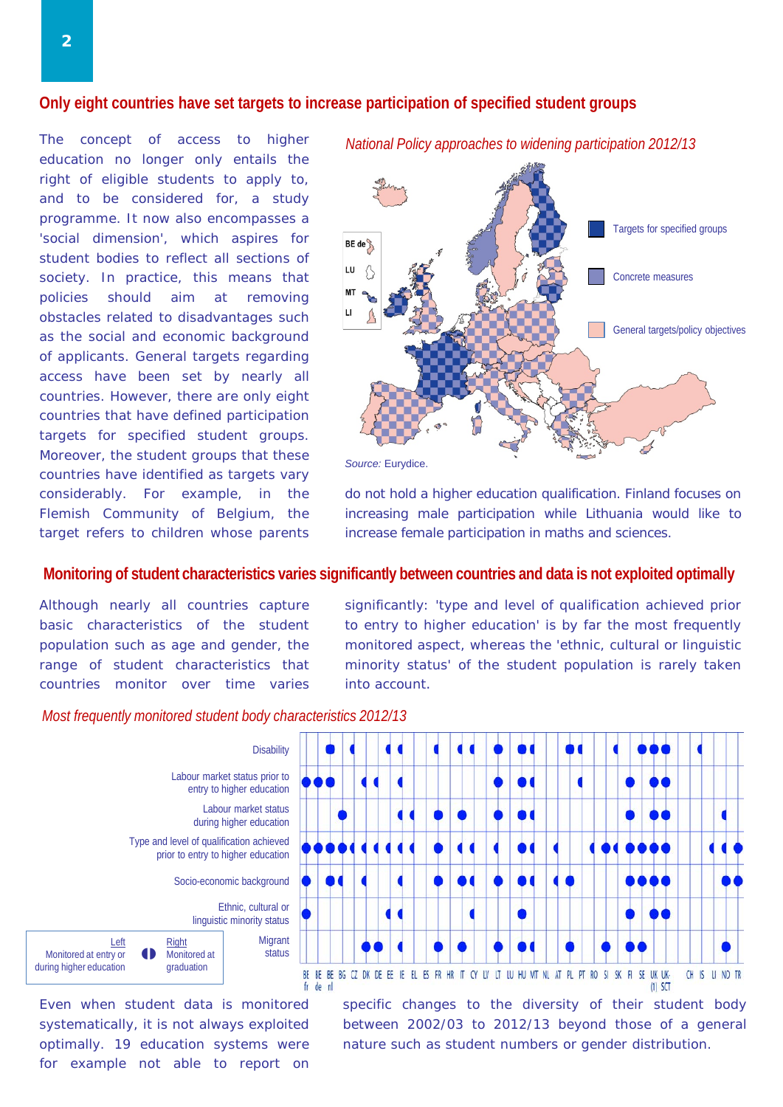#### **Only eight countries have set targets to increase participation of specified student groups**

The concept of access to higher education no longer only entails the right of eligible students to apply to, and to be considered for, a study programme. It now also encompasses a 'social dimension', which aspires for student bodies to reflect all sections of society. In practice, this means that policies should aim at removing obstacles related to disadvantages such as the social and economic background of applicants. General targets regarding access have been set by nearly all countries. However, there are only eight countries that have defined participation targets for specified student groups. Moreover, the student groups that these countries have identified as targets vary considerably. For example, in the Flemish Community of Belgium, the target refers to children whose parents



*Source:* Eurydice.

do not hold a higher education qualification. Finland focuses on increasing male participation while Lithuania would like to increase female participation in maths and sciences.

### **Monitoring of student characteristics varies significantly between countries and data is not exploited optimally**

Although nearly all countries capture basic characteristics of the student population such as age and gender, the range of student characteristics that countries monitor over time varies

significantly: 'type and level of qualification achieved prior to entry to higher education' is by far the most frequently monitored aspect, whereas the 'ethnic, cultural or linguistic minority status' of the student population is rarely taken into account.



*Most frequently monitored student body characteristics 2012/13*

Even when student data is monitored systematically, it is not always exploited optimally. 19 education systems were for example not able to report on specific changes to the diversity of their student body between 2002/03 to 2012/13 beyond those of a general nature such as student numbers or gender distribution.

 $(1)$  SCT



*National Policy approaches to widening participation 2012/13*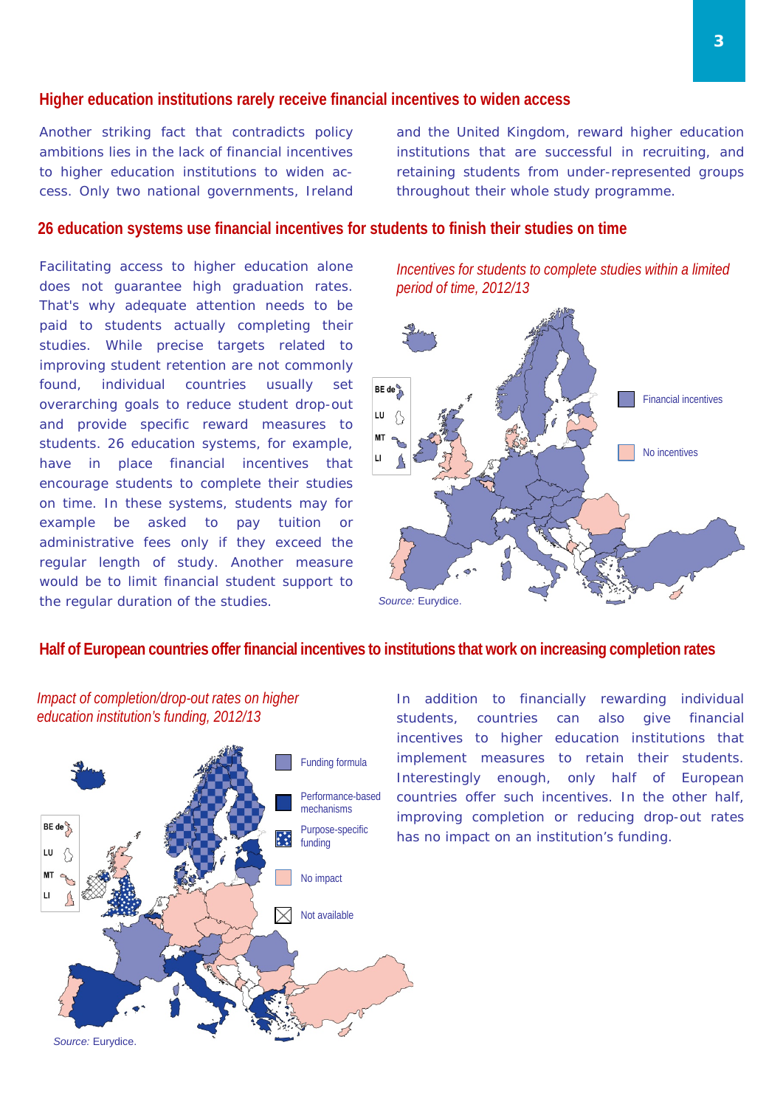#### **Higher education institutions rarely receive financial incentives to widen access**

Another striking fact that contradicts policy ambitions lies in the lack of financial incentives to higher education institutions to widen access. Only two national governments, Ireland and the United Kingdom, reward higher education institutions that are successful in recruiting, and retaining students from under-represented groups throughout their whole study programme.

### **26 education systems use financial incentives for students to finish their studies on time**

Facilitating access to higher education alone does not guarantee high graduation rates. That's why adequate attention needs to be paid to students actually completing their studies. While precise targets related to improving student retention are not commonly found, individual countries usually set overarching goals to reduce student drop-out and provide specific reward measures to students. 26 education systems, for example, have in place financial incentives that encourage students to complete their studies on time. In these systems, students may for example be asked to pay tuition or administrative fees only if they exceed the regular length of study. Another measure would be to limit financial student support to the regular duration of the studies.

*Incentives for students to complete studies within a limited period of time, 2012/13*



## **Half of European countries offer financial incentives to institutions that work on increasing completion rates**

*Impact of completion/drop-out rates on higher education institution's funding, 2012/13*



In addition to financially rewarding individual students, countries can also give financial incentives to higher education institutions that implement measures to retain their students. Interestingly enough, only half of European countries offer such incentives. In the other half, improving completion or reducing drop-out rates has no impact on an institution's funding.